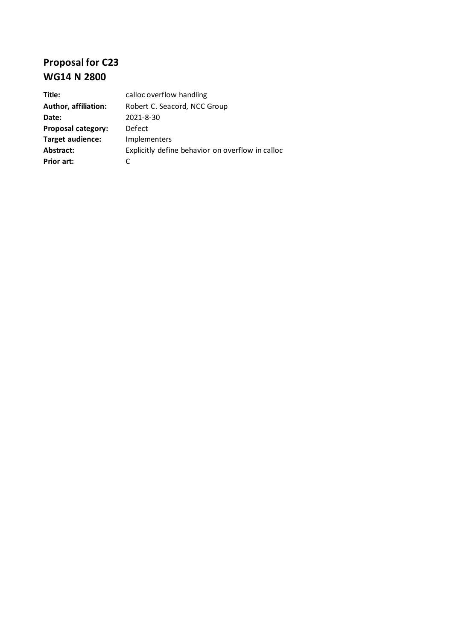## **Proposal for C23 WG14 N 2800**

| Title:                      | calloc overflow handling                         |
|-----------------------------|--------------------------------------------------|
| <b>Author, affiliation:</b> | Robert C. Seacord, NCC Group                     |
| Date:                       | 2021-8-30                                        |
| <b>Proposal category:</b>   | Defect                                           |
| <b>Target audience:</b>     | Implementers                                     |
| Abstract:                   | Explicitly define behavior on overflow in calloc |
| Prior art:                  |                                                  |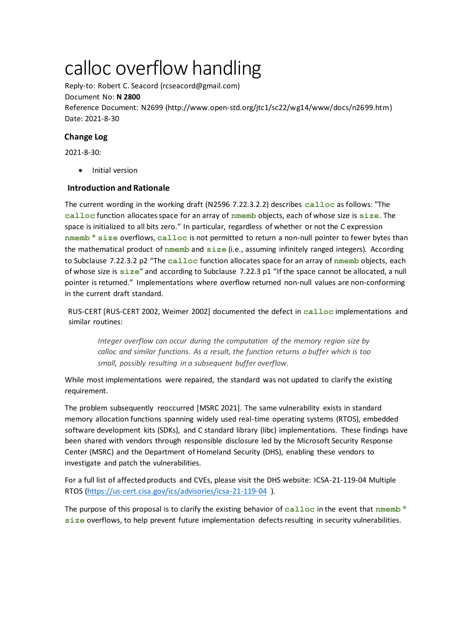# calloc overflow handling

Reply-to: Robert C. Seacord (rcseacord@gmail.com) Document No: **N 2800** Reference Document: N2699 (http://www.open-std.org/jtc1/sc22/wg14/www/docs/n2699.htm) Date: 2021-8-30

### **Change Log**

2021-8-30:

• Initial version

#### **Introduction and Rationale**

The current wording in the working draft (N2596 7.22.3.2.2) describes **calloc** as follows: "The **calloc** function allocates space for an array of **nmemb** objects, each of whose size is **size**. The space is initialized to all bits zero." In particular, regardless of whether or not the C expression **nmemb \* size** overflows, **calloc** is not permitted to return a non-null pointer to fewer bytes than the mathematical product of **nmemb** and **size** (i.e., assuming infinitely ranged integers). According to Subclause 7.22.3.2 p2 "The **calloc** function allocates space for an array of **nmemb** objects, each of whose size is **size**" and according to Subclause 7.22.3 p1 "If the space cannot be allocated, a null pointer is returned." Implementations where overflow returned non-null values are non-conforming in the current draft standard.

RUS-CERT [RUS-CERT 2002, Weimer 2002] documented the defect in **calloc** implementations and similar routines:

*Integer overflow can occur during the computation of the memory region size by calloc and similar functions. As a result, the function returns a buffer which is too small, possibly resulting in a subsequent buffer overflow.*

While most implementations were repaired, the standard was not updated to clarify the existing requirement.

The problem subsequently reoccurred [MSRC 2021]. The same vulnerability exists in standard memory allocation functions spanning widely used real-time operating systems (RTOS), embedded software development kits (SDKs), and C standard library (libc) implementations. These findings have been shared with vendors through responsible disclosure led by the Microsoft Security Response Center (MSRC) and the Department of Homeland Security (DHS), enabling these vendors to investigate and patch the vulnerabilities.

For a full list of affected products and CVEs, please visit the DHS website: ICSA-21-119-04 Multiple RTOS [\(https://us-cert.cisa.gov/ics/advisories/icsa-21-119-04](https://us-cert.cisa.gov/ics/advisories/icsa-21-119-04) ).

The purpose of this proposal is to clarify the existing behavior of **calloc** in the event that **nmemb \* size** overflows, to help prevent future implementation defects resulting in security vulnerabilities.